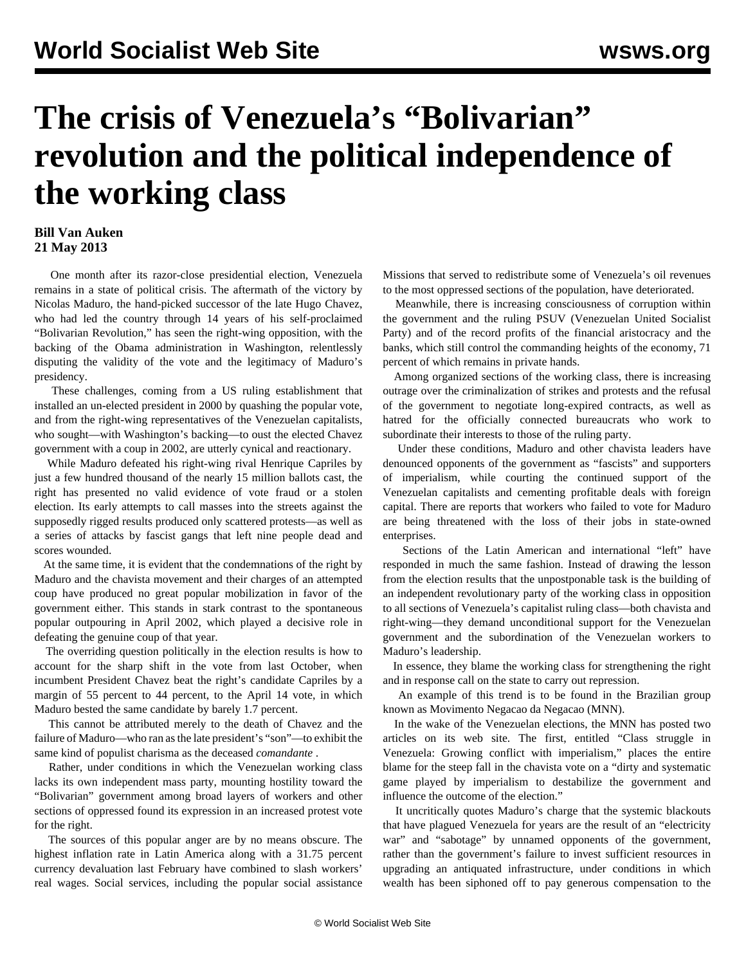## **The crisis of Venezuela's "Bolivarian" revolution and the political independence of the working class**

## **Bill Van Auken 21 May 2013**

 One month after its razor-close presidential election, Venezuela remains in a state of political crisis. The aftermath of the victory by Nicolas Maduro, the hand-picked successor of the late Hugo Chavez, who had led the country through 14 years of his self-proclaimed "Bolivarian Revolution," has seen the right-wing opposition, with the backing of the Obama administration in Washington, relentlessly disputing the validity of the vote and the legitimacy of Maduro's presidency.

 These challenges, coming from a US ruling establishment that installed an un-elected president in 2000 by quashing the popular vote, and from the right-wing representatives of the Venezuelan capitalists, who sought—with Washington's backing—to oust the elected Chavez government with a coup in 2002, are utterly cynical and reactionary.

 While Maduro defeated his right-wing rival Henrique Capriles by just a few hundred thousand of the nearly 15 million ballots cast, the right has presented no valid evidence of vote fraud or a stolen election. Its early attempts to call masses into the streets against the supposedly rigged results produced only scattered protests—as well as a series of attacks by fascist gangs that left nine people dead and scores wounded.

 At the same time, it is evident that the condemnations of the right by Maduro and the chavista movement and their charges of an attempted coup have produced no great popular mobilization in favor of the government either. This stands in stark contrast to the spontaneous popular outpouring in April 2002, which played a decisive role in defeating the genuine coup of that year.

 The overriding question politically in the election results is how to account for the sharp shift in the vote from last October, when incumbent President Chavez beat the right's candidate Capriles by a margin of 55 percent to 44 percent, to the April 14 vote, in which Maduro bested the same candidate by barely 1.7 percent.

 This cannot be attributed merely to the death of Chavez and the failure of Maduro—who ran as the late president's "son"—to exhibit the same kind of populist charisma as the deceased *comandante* .

 Rather, under conditions in which the Venezuelan working class lacks its own independent mass party, mounting hostility toward the "Bolivarian" government among broad layers of workers and other sections of oppressed found its expression in an increased protest vote for the right.

 The sources of this popular anger are by no means obscure. The highest inflation rate in Latin America along with a 31.75 percent currency devaluation last February have combined to slash workers' real wages. Social services, including the popular social assistance

Missions that served to redistribute some of Venezuela's oil revenues to the most oppressed sections of the population, have deteriorated.

 Meanwhile, there is increasing consciousness of corruption within the government and the ruling PSUV (Venezuelan United Socialist Party) and of the record profits of the financial aristocracy and the banks, which still control the commanding heights of the economy, 71 percent of which remains in private hands.

 Among organized sections of the working class, there is increasing outrage over the criminalization of strikes and protests and the refusal of the government to negotiate long-expired contracts, as well as hatred for the officially connected bureaucrats who work to subordinate their interests to those of the ruling party.

 Under these conditions, Maduro and other chavista leaders have denounced opponents of the government as "fascists" and supporters of imperialism, while courting the continued support of the Venezuelan capitalists and cementing profitable deals with foreign capital. There are reports that workers who failed to vote for Maduro are being threatened with the loss of their jobs in state-owned enterprises.

 Sections of the Latin American and international "left" have responded in much the same fashion. Instead of drawing the lesson from the election results that the unpostponable task is the building of an independent revolutionary party of the working class in opposition to all sections of Venezuela's capitalist ruling class—both chavista and right-wing—they demand unconditional support for the Venezuelan government and the subordination of the Venezuelan workers to Maduro's leadership.

 In essence, they blame the working class for strengthening the right and in response call on the state to carry out repression.

 An example of this trend is to be found in the Brazilian group known as Movimento Negacao da Negacao (MNN).

 In the wake of the Venezuelan elections, the MNN has posted two articles on its web site. The first, entitled "Class struggle in Venezuela: Growing conflict with imperialism," places the entire blame for the steep fall in the chavista vote on a "dirty and systematic game played by imperialism to destabilize the government and influence the outcome of the election."

 It uncritically quotes Maduro's charge that the systemic blackouts that have plagued Venezuela for years are the result of an "electricity war" and "sabotage" by unnamed opponents of the government, rather than the government's failure to invest sufficient resources in upgrading an antiquated infrastructure, under conditions in which wealth has been siphoned off to pay generous compensation to the